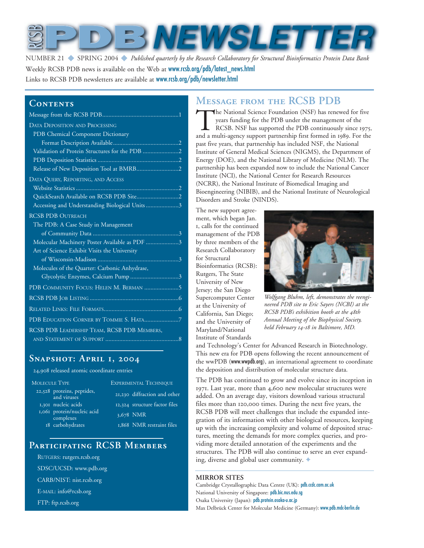

Number 21 ◆ SPRING 2004 ◆ *Published quarterly by the Research Collaboratory for Structural Bioinformatics Protein Data Bank* Weekly RCSB PDB news is available on the Web at www.rcsb.org/pdb/latest\_news.html Links to RCSB PDB newsletters are available at www.rcsb.org/pdb/newsletter.html

### CONTENTS

| <b>DATA DEPOSITION AND PROCESSING</b>          |
|------------------------------------------------|
| PDB Chemical Component Dictionary              |
|                                                |
| Validation of Protein Structures for the PDB 2 |
|                                                |
|                                                |
| DATA QUERY, REPORTING, AND ACCESS              |
|                                                |
|                                                |
| Accessing and Understanding Biological Units 3 |
| <b>RCSB PDB OUTREACH</b>                       |
| The PDB: A Case Study in Management            |
|                                                |
| Molecular Machinery Poster Available as PDF 3  |
| Art of Science Exhibit Visits the University   |
|                                                |
| Molecules of the Quarter: Carbonic Anhydrase,  |
| Glycolytic Enzymes, Calcium Pump 3             |
| PDB COMMUNITY FOCUS: HELEN M. BERMAN 5         |
|                                                |
|                                                |
| PDB EDUCATION CORNER BY TOMMIE S. HATA7        |
| RCSB PDB LEADERSHIP TEAM, RCSB PDB MEMBERS,    |
|                                                |

### **Snapshot: April 1, 2004**

24,908 released atomic coordinate entries

| <b>MOLECULE TYPE</b> |                                           | <b>EXPERIMENTAL TECHNIQUE</b> |                               |  |
|----------------------|-------------------------------------------|-------------------------------|-------------------------------|--|
|                      | 22,528 proteins, peptides,<br>and viruses |                               | 21,230 diffraction and other  |  |
|                      | 1,301 nucleic acids                       |                               | 12,324 structure factor files |  |
|                      | 1,061 protein/nucleic acid<br>complexes   |                               | 3,678 NMR                     |  |
|                      | 18 carbohydrates                          |                               | 1,868 NMR restraint files     |  |
|                      |                                           |                               |                               |  |

### **Participating RCSB Members**

- RUTGERS: rutgers.rcsb.org
- SDSC/UCSD: www.pdb.org
- CARB/NIST: nist.rcsb.org
- E-MAIL: info@rcsb.org
- FTP: ftp.rcsb.org

# **Message from the RCSB PDB**

The National Science Foundation (NSF) has renewed for five<br>
years funding for the PDB under the management of the<br>
RCSB. NSF has supported the PDB continuously since 1975.<br>
and a multi-agency support partnership first form years funding for the PDB under the management of the RCSB. NSF has supported the PDB continuously since 1975, past five years, that partnership has included NSF, the National Institute of General Medical Sciences (NIGMS), the Department of Energy (DOE), and the National Library of Medicine (NLM). The partnership has been expanded now to include the National Cancer Institute (NCI), the National Center for Research Resources (NCRR), the National Institute of Biomedical Imaging and Bioengineering (NIBIB), and the National Institute of Neurological Disorders and Stroke (NINDS).

The new support agreement, which began Jan. 1, calls for the continued management of the PDB by three members of the Research Collaboratory for Structural Bioinformatics (RCSB): Rutgers, The State University of New Jersey; the San Diego Supercomputer Center at the University of California, San Diego; and the University of Maryland/National Institute of Standards



*Wolfgang Bluhm, left, demonstrates the reengineered PDB site to Eric Sayers (NCBI) at the RCSB PDB's exhibition booth at the 48th Annual Meeting of the Biophysical Society, held February 14-18 in Baltimore, MD.* 

and Technology's Center for Advanced Research in Biotechnology. This new era for PDB opens following the recent announcement of the wwPDB (www.wwpdb.org), an international agreement to coordinate the deposition and distribution of molecular structure data.

The PDB has continued to grow and evolve since its inception in 1971. Last year, more than 4,600 new molecular structures were added. On an average day, visitors download various structural files more than 120,000 times. During the next five years, the RCSB PDB will meet challenges that include the expanded integration of its information with other biological resources, keeping up with the increasing complexity and volume of deposited structures, meeting the demands for more complex queries, and providing more detailed annotation of the experiments and the structures. The PDB will also continue to serve an ever expanding, diverse and global user community.  $\triangleleft$ 

#### **MIRROR SITES**

Cambridge Crystallographic Data Centre (UK): pdb.ccdc.cam.ac.uk National University of Singapore: pdb.bic.nus.edu.sg Osaka University (Japan): pdb.protein.osaka-u.ac.jp Max Delbrück Center for Molecular Medicine (Germany): www.pdb.mdc-berlin.de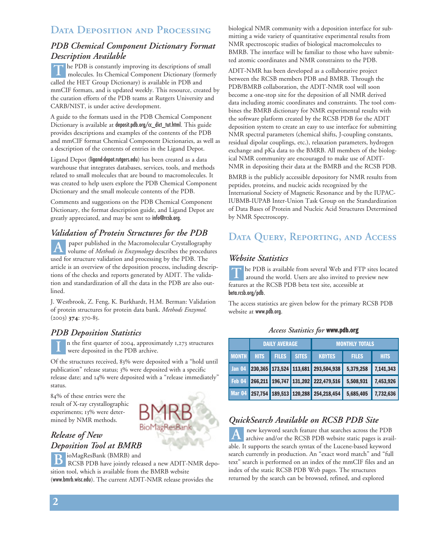# **Data Deposition and Processing**

## *PDB Chemical Component Dictionary Format Description Available*

The PDB is constantly improving its descriptions of small molecules. Its Chemical Component Dictionary (former molecules. Its Chemical Component Dictionary (formerly called the HET Group Dictionary) is available in PDB and mmCIF formats, and is updated weekly. This resource, created by the curation efforts of the PDB teams at Rutgers University and CARB/NIST, is under active development.

A guide to the formats used in the PDB Chemical Component Dictionary is available at deposit.pdb.org/cc\_dict\_tut.html. This guide provides descriptions and examples of the contents of the PDB and mmCIF format Chemical Component Dictionaries, as well as a description of the contents of entries in the Ligand Depot.

Ligand Depot (ligand-depot.rutgers.edu) has been created as a data warehouse that integrates databases, services, tools, and methods related to small molecules that are bound to macromolecules. It was created to help users explore the PDB Chemical Component Dictionary and the small molecule contents of the PDB.

Comments and suggestions on the PDB Chemical Component Dictionary, the format description guide, and Ligand Depot are greatly appreciated, and may be sent to info@rcsb.org.

# *Validation of Protein Structures for the PDB*

paper published in the Macromolecular Crystallography A paper published in the Macromolecular Crystallography<br>
volume of *Methods in Enzymology* describes the procedures used for structure validation and processing by the PDB. The article is an overview of the deposition process, including descriptions of the checks and reports generated by ADIT. The validation and standardization of all the data in the PDB are also outlined.

J. Westbrook, Z. Feng, K. Burkhardt, H.M. Berman: Validation of protein structures for protein data bank. *Methods Enzymol.* (2003) **374**: 370-85.

## *PDB Deposition Statistics*

n the first quarter of 2004, approximately 1,273 structures were deposited in the PDB archive. **I**

Of the structures received, 83% were deposited with a "hold until publication" release status; 3% were deposited with a specific release date; and 14% were deposited with a "release immediately" status.

84% of these entries were the result of X-ray crystallographic experiments; 13% were determined by NMR methods.



# *Release of New Deposition Tool at BMRB*

ioMagResBank (BMRB) and B ioMagResBank (BMRB) and<br>RCSB PDB have jointly released a new ADIT-NMR deposition tool, which is available from the BMRB website (www.bmrb.wisc.edu). The current ADIT-NMR release provides the

biological NMR community with a deposition interface for submitting a wide variety of quantitative experimental results from NMR spectroscopic studies of biological macromolecules to BMRB. The interface will be familiar to those who have submitted atomic coordinates and NMR constraints to the PDB.

ADIT-NMR has been developed as a collaborative project between the RCSB members PDB and BMRB. Through the PDB/BMRB collaboration, the ADIT-NMR tool will soon become a one-stop site for the deposition of all NMR derived data including atomic coordinates and constraints. The tool combines the BMRB dictionary for NMR experimental results with the software platform created by the RCSB PDB for the ADIT deposition system to create an easy to use interface for submitting NMR spectral parameters (chemical shifts, J-coupling constants, residual dipolar couplings, etc.), relaxation parameters, hydrogen exchange and pKa data to the BMRB. All members of the biological NMR community are encouraged to make use of ADIT-NMR in depositing their data at the BMRB and the RCSB PDB.

BMRB is the publicly accessible depository for NMR results from peptides, proteins, and nucleic acids recognized by the International Society of Magnetic Resonance and by the IUPAC-IUBMB-IUPAB Inter-Union Task Group on the Standardization of Data Bases of Protein and Nucleic Acid Structures Determined by NMR Spectroscopy.

# **Data Query, Reporting, and Access**

### *Website Statistics*

he PDB is available from several Web and FTP sites located around the world. Users are also invited to preview new features at the RCSB PDB beta test site, accessible at beta.rcsb.org/pdb. **T**

The access statistics are given below for the primary RCSB PDB website at www.pdb.org.

#### *Access Statistics for* www.pdb.org

|              | <b>DAILY AVERAGE</b> |              |              | <b>MONTHLY TOTALS</b>                                          |              |             |
|--------------|----------------------|--------------|--------------|----------------------------------------------------------------|--------------|-------------|
| <b>MONTH</b> | <b>HITS</b>          | <b>FILES</b> | <b>SITES</b> | <b>KBYTES</b>                                                  | <b>FILES</b> | <b>HITS</b> |
|              |                      |              |              | Jan 04 230,365 173,524 113,681 293,504,938 5,379,258 7,141,343 |              |             |
|              |                      |              |              | Feb 04 266,211 196,747 131,202 222,479,516 5,508,931 7,453,926 |              |             |
|              |                      |              |              | Mar 04 257,754 189,513 120,288 254,218,454 5,685,405           |              | 7,732,636   |

## *QuickSearch Available on RCSB PDB Site*

new keyword search feature that searches across the PDB archive and/or the RCSB PDB website static pages is available. It supports the search syntax of the Lucene-based keyword search currently in production. An "exact word match" and "full text" search is performed on an index of the mmCIF files and an index of the static RCSB PDB Web pages. The structures returned by the search can be browsed, refined, and explored **A**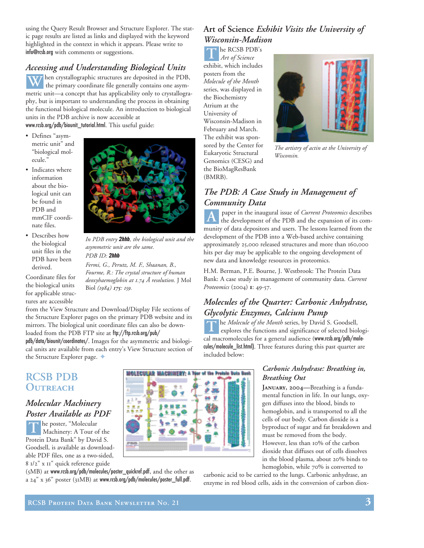using the Query Result Browser and Structure Explorer. The static page results are listed as links and displayed with the keyword highlighted in the context in which it appears. Please write to info@rcsb.org with comments or suggestions.

# *Accessing and Understanding Biological Units*

**W** hen crystallographic structures are deposited in the PDB, the primary coordinate file generally contains one asymthe primary coordinate file generally contains one asymmetric unit—a concept that has applicability only to crystallography, but is important to understanding the process in obtaining the functional biological molecule. An introduction to biological units in the PDB archive is now accessible at www.rcsb.org/pdb/biounit\_tutorial.html. This useful guide:

- Defines "asymmetric unit" and "biological molecule.'
- Indicates where information about the biological unit can be found in PDB and mmCIF coordinate files.
- Describes how the biological unit files in the PDB have been derived.

Coordinate files for the biological units for applicable structures are accessible



*In PDB entry* 2hhb*, the biological unit and the asymmetric unit are the same. PDB ID:* 2hhb

*Fermi, G., Perutz, M. F., Shaanan, B., Fourme, R.: The crystal structure of human deoxyhaemoglobin at 1.74 Å resolution.* J Mol Biol *(1984) 175: 159.* 

from the View Structure and Download/Display File sections of the Structure Explorer pages on the primary PDB website and its mirrors. The biological unit coordinate files can also be downloaded from the PDB FTP site at ftp://ftp.rcsb.org/pub/

pdb/data/biounit/coordinates/. Images for the asymmetric and biological units are available from each entry's View Structure section of the Structure Explorer page. ♦

# **RCSB PDB Outreach**

## *Molecular Machinery Poster Available as PDF*

he poster, "Molecular Machinery: A Tour of the Protein Data Bank" by David S. Goodsell, is available as downloadable PDF files, one as a two-sided, 8 1/2" x 11" quick reference guide **T**

(5MB) at www.rcsb.org/pdb/molecules/poster\_quickref.pdf, and the other as a 24" x 36" poster (31MB) at www.rcsb.org/pdb/molecules/poster\_full.pdf.

# **Art of Science** *Exhibit Visits the University of Wisconsin-Madison*

T **he RCSB PDB**'s<br>Art of Science *Art of Science*

exhibit, which includes posters from the *Molecule of the Month* series, was displayed in the Biochemistry Atrium at the University of Wisconsin-Madison in February and March. The exhibit was sponsored by the Center for Eukaryotic Structural Genomics (CESG) and the BioMagResBank (BMRB).



*The artistry of actin at the University of Wisconsin.*

## *The PDB: A Case Study in Management of Community Data*

paper in the inaugural issue of *Current Proteomics* describes the development of the PDB and the expansion of its community of data depositors and users. The lessons learned from the development of the PDB into a Web-based archive containing approximately 25,000 released structures and more than 160,000 hits per day may be applicable to the ongoing development of new data and knowledge resources in proteomics. **A**

H.M. Berman, P.E. Bourne, J. Westbrook: The Protein Data Bank: A case study in management of community data. *Current Proteomics* (2004) **1**: 49-57.

# *Molecules of the Quarter: Carbonic Anhydrase, Glycolytic Enzymes, Calcium Pump*

The *Molecule of the Month* series, by David S. Goodsell, explores the functions and significance of selected bio explores the functions and significance of selected biological macromolecules for a general audience (www.rcsb.org/pdb/molecules/molecule\_list.html). Three features during this past quarter are included below:



### *Carbonic Anhydrase: Breathing in, Breathing Out*

**January, 2004—**Breathing is a fundamental function in life. In our lungs, oxygen diffuses into the blood, binds to hemoglobin, and is transported to all the cells of our body. Carbon dioxide is a byproduct of sugar and fat breakdown and must be removed from the body. However, less than 10% of the carbon dioxide that diffuses out of cells dissolves in the blood plasma, about 20% binds to hemoglobin, while 70% is converted to

carbonic acid to be carried to the lungs. Carbonic anhydrase, an enzyme in red blood cells, aids in the conversion of carbon diox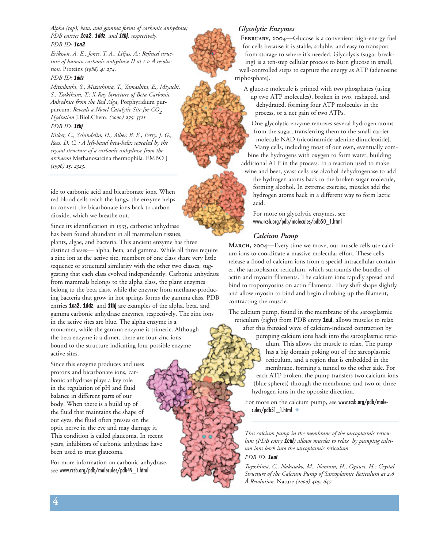*Alpha (top), beta, and gamma forms of carbonic anhydrase; PDB entries* 1ca2*,* 1ddz*, and* 1thj*, respectively. PDB ID:* 1ca2

*Eriksson, A. E., Jones, T. A., Liljas, A.: Refined structure of human carbonic anhydrase II at 2.0 Å resolution.* Proteins *(1988) 4: 274.* 

#### *PDB ID:* 1ddz

*Mitsuhashi, S., Mizushima, T., Yamashita, E., Miyachi, S., Tsukihara, T.: X-Ray Structure of Beta-Carbonic Anhydrase from the Red Alga,* Porphyridium purpureum*, Reveals a Novel Catalytic Site for CO2 Hydration* J.Biol.Chem. *(2000) 275: 5521.* 

### *PDB ID:* 1thj

*Kisker, C., Schindelin, H., Alber, B. E., Ferry, J. G., Rees, D. C. : A left-hand beta-helix revealed by the crystal structure of a carbonic anhydrase from the archaeon* Methanosarcina thermophila*.* EMBO J *(1996) 15: 2323.*

ide to carbonic acid and bicarbonate ions. When red blood cells reach the lungs, the enzyme helps to convert the bicarbonate ions back to carbon dioxide, which we breathe out.

Since its identification in 1933, carbonic anhydrase has been found abundant in all mammalian tissues, plants, algae, and bacteria. This ancient enzyme has three distinct classes— alpha, beta, and gamma. While all three require a zinc ion at the active site, members of one class share very little sequence or structural similarity with the other two classes, suggesting that each class evolved independently. Carbonic anhydrase from mammals belongs to the alpha class, the plant enzymes belong to the beta class, while the enzyme from methane-producing bacteria that grow in hot springs forms the gamma class. PDB entries 1ca2, 1ddz, and 1thj are examples of the alpha, beta, and gamma carbonic anhydrase enzymes, respectively. The zinc ions in the active sites are blue. The alpha enzyme is a monomer, while the gamma enzyme is trimeric. Although the beta enzyme is a dimer, there are four zinc ions bound to the structure indicating four possible enzyme active sites.

Since this enzyme produces and uses protons and bicarbonate ions, carbonic anhydrase plays a key role in the regulation of pH and fluid balance in different parts of our body. When there is a build up of the fluid that maintains the shape of our eyes, the fluid often presses on the optic nerve in the eye and may damage it. This condition is called glaucoma. In recent years, inhibitors of carbonic anhydrase have been used to treat glaucoma.

For more information on carbonic anhydrase, see www.rcsb.org/pdb/molecules/pdb49\_1.html







**February, 2004—**Glucose is a convenient high-energy fuel for cells because it is stable, soluble, and easy to transport from storage to where it's needed. Glycolysis (sugar breaking) is a ten-step cellular process to burn glucose in small, well-controlled steps to capture the energy as ATP (adenosine triphosphate).

A glucose molecule is primed with two phosphates (using up two ATP molecules), broken in two, reshaped, and dehydrated, forming four ATP molecules in the process, or a net gain of two ATPs.

One glycolytic enzyme removes several hydrogen atoms from the sugar, transferring them to the small carrier molecule NAD (nicotinamide adenine dinucleotide). Many cells, including most of our own, eventually combine the hydrogens with oxygen to form water, building additional ATP in the process. In a reaction used to make

wine and beer, yeast cells use alcohol dehydrogenase to add the hydrogen atoms back to the broken sugar molecule, forming alcohol. In extreme exercise, muscles add the hydrogen atoms back in a different way to form lactic acid.

For more on glycolytic enzymes, see www.rcsb.org/pdb/molecules/pdb50\_1.html

#### *Calcium Pump*

**March, 2004—**Every time we move, our muscle cells use calcium ions to coordinate a massive molecular effort. These cells release a flood of calcium ions from a special intracellular container, the sarcoplasmic reticulum, which surrounds the bundles of actin and myosin filaments. The calcium ions rapidly spread and bind to tropomyosins on actin filaments. They shift shape slightly and allow myosin to bind and begin climbing up the filament, contracting the muscle.

The calcium pump, found in the membrane of the sarcoplasmic reticulum (right) from PDB entry 1eul, allows muscles to relax

after this frenzied wave of calcium-induced contraction by pumping calcium ions back into the sarcoplasmic reticulum. This allows the muscle to relax. The pump has a big domain poking out of the sarcoplasmic

reticulum, and a region that is embedded in the membrane, forming a tunnel to the other side. For each ATP broken, the pump transfers two calcium ions (blue spheres) through the membrane, and two or three hydrogen ions in the opposite direction.

For more on the calcium pump, see www.rcsb.org/pdb/mole- $\text{cules/pdb51}\_1.\text{html}$   $\blacklozenge$ 

*This calcium pump in the membrane of the sarcoplasmic reticulum (PDB entry* 1eul*) allows muscles to relax by pumping calcium ions back into the sarcoplasmic reticulum. PDB ID:* 1eul

*Toyoshima, C., Nakasako, M., Nomura, H., Ogawa, H.: Crystal Structure of the Calcium Pump of Sarcoplasmic Reticulum at 2.6*

*Å Resolution.* Nature *(2000) 405: 647*

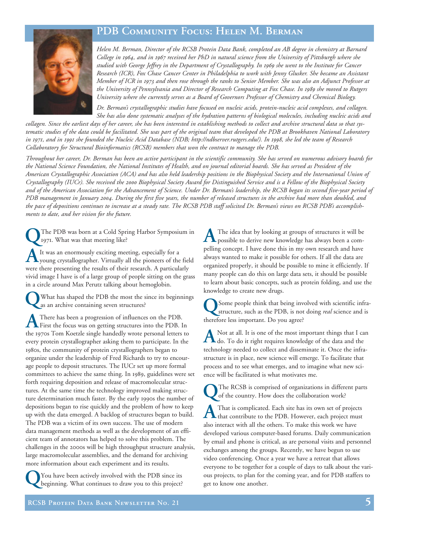# **PDB Community Focus: Helen M. Berman**



*Helen M. Berman, Director of the RCSB Protein Data Bank, completed an AB degree in chemistry at Barnard College in 1964, and in 1967 received her PhD in natural science from the University of Pittsburgh where she studied with George Jeffrey in the Department of Crystallography. In 1969 she went to the Institute for Cancer Research (ICR), Fox Chase Cancer Center in Philadelphia to work with Jenny Glusker. She became an Assistant Member of ICR in 1973 and then rose through the ranks to Senior Member. She was also an Adjunct Professor at the University of Pennsylvania and Director of Research Computing at Fox Chase. In 1989 she moved to Rutgers University where she currently serves as a Board of Governors Professor of Chemistry and Chemical Biology.*

*Dr. Berman's crystallographic studies have focused on nucleic acids, protein-nucleic acid complexes, and collagen. She has also done systematic analyses of the hydration patterns of biological molecules, including nucleic acids and*

*collagen. Since the earliest days of her career, she has been interested in establishing methods to collect and archive structural data so that systematic studies of the data could be facilitated. She was part of the original team that developed the PDB at Brookhaven National Laboratory in 1971, and in 1991 she founded the Nucleic Acid Database (NDB; http://ndbserver.rutgers.edu/). In 1998, she led the team of Research Collaboratory for Structural Bioinformatics (RCSB) members that won the contract to manage the PDB.*

*Throughout her career, Dr. Berman has been an active participant in the scientific community. She has served on numerous advisory boards for the National Science Foundation, the National Institutes of Health, and on journal editorial boards. She has served as President of the American Crystallographic Association (ACA) and has also held leadership positions in the Biophysical Society and the International Union of Crystallography (IUCr). She received the 2000 Biophysical Society Award for Distinguished Service and is a Fellow of the Biophysical Society and of the American Association for the Advancement of Science. Under Dr. Berman's leadership, the RCSB began its second five-year period of PDB management in January 2004. During the first five years, the number of released structures in the archive had more than doubled, and the pace of depositions continues to increase at a steady rate. The RCSB PDB staff solicited Dr. Berman's views on RCSB PDB's accomplishments to date, and her vision for the future.* 

**Q**The PDB was born at a Cold Spring Harbor Symposium in 1971. What was that meeting like?

It was an enormously exciting meeting, especially for a young crystallographer. Virtually all the pioneers of the field were there presenting the results of their research. A particularly vivid image I have is of a large group of people sitting on the grass in a circle around Max Perutz talking about hemoglobin.

**Q**What has shaped the PDB the most the since its beginnings as an archive containing seven structures?

**A**There has been a progression of influences on the PDB.<br>First the focus was on getting structures into the PDB. In the 1970s Tom Koetzle single handedly wrote personal letters to every protein crystallographer asking them to participate. In the 1980s, the community of protein crystallographers began to organize under the leadership of Fred Richards to try to encourage people to deposit structures. The IUCr set up more formal committees to achieve the same thing. In 1989, guidelines were set forth requiring deposition and release of macromolecular structures. At the same time the technology improved making structure determination much faster. By the early 1990s the number of depositions began to rise quickly and the problem of how to keep up with the data emerged. A backlog of structures began to build. The PDB was a victim of its own success. The use of modern data management methods as well as the development of an efficient team of annotators has helped to solve this problem. The challenges in the 2000s will be high throughput structure analysis, large macromolecular assemblies, and the demand for archiving more information about each experiment and its results.

You have been actively involved with the PDB since its beginning. What continues to draw you to this project?

**A**The idea that by looking at groups of structures it will be possible to derive new knowledge has always been a compelling concept. I have done this in my own research and have always wanted to make it possible for others. If all the data are organized properly, it should be possible to mine it efficiently. If many people can do this on large data sets, it should be possible to learn about basic concepts, such as protein folding, and use the knowledge to create new drugs.

**Q**Some people think that being involved with scientific infra-structure, such as the PDB, is not doing *real* science and is therefore less important. Do you agree?

A Not at all. It is one of the most important things that I can do. To do it right requires knowledge of the data and the technology needed to collect and disseminate it. Once the infrastructure is in place, new science will emerge. To facilitate that process and to see what emerges, and to imagine what new science will be facilitated is what motivates me.

**Q**The RCSB is comprised of organizations in different parts of the country. How does the collaboration work?

That is complicated. Each site has its own set of projects that contribute to the PDB. However, each project must also interact with all the others. To make this work we have developed various computer-based forums. Daily communication by email and phone is critical, as are personal visits and personnel exchanges among the groups. Recently, we have begun to use video conferencing. Once a year we have a retreat that allows everyone to be together for a couple of days to talk about the various projects, to plan for the coming year, and for PDB staffers to get to know one another.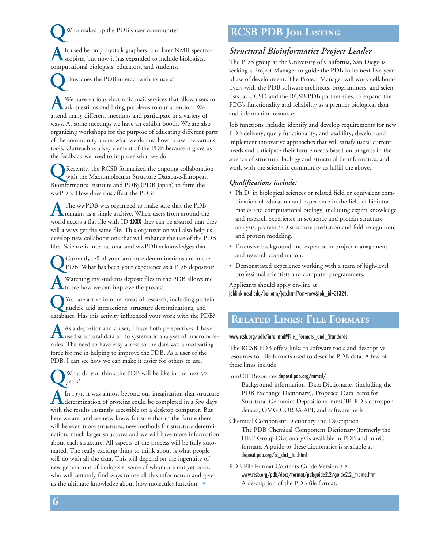**Q**Who makes up the PDB's user community? A It used be only crystallographers, and later NMR spectro-<br>scopists, but now it has expanded to include biologists, computational biologists, educators, and students.

How does the PDB interact with its users?

A We have various electronic mail services that allow users to ask questions and bring problems to our attention. We attend many different meetings and participate in a variety of ways. At some meetings we have an exhibit booth. We are also organizing workshops for the purpose of educating different parts of the community about what we do and how to use the various tools. Outreach is a key element of the PDB because it gives us the feedback we need to improve what we do.

**Q**Recently, the RCSB formalized the ongoing collaboration with the Macromolecular Structure Database-European Bioinformatics Institute and PDBj (PDB Japan) to form the wwPDB. How does this affect the PDB?

The wwPDB was organized to make sure that the PDB<br>remains as a single archive. When users from around the world access a flat file with ID 1XXX they can be assured that they will always get the same file. This organization will also help us develop new collaborations that will enhance the use of the PDB files. Science is international and wwPDB acknowledges that.

**Q**Currently, 28 of your structure determinations are in the PDB. What has been your experience as a PDB depositor?

A Watching my students deposit files in the PDB allows me<br>to see how we can improve the process.

**Q**You are active in other areas of research, including protein-nucleic acid interactions, structure determinations, and databases. Has this activity influenced your work with the PDB?

As a depositor and a user, I have both perspectives. I have<br>used structural data to do systematic analyses of macromolecules. The need to have easy access to the data was a motivating force for me in helping to improve the PDB. As a user of the PDB, I can see how we can make it easier for others to use.

**Q**What do you think the PDB will be like in the next 30 years?

A In 1971, it was almost beyond our imagination that structure<br>determination of proteins could be completed in a few days with the results instantly accessible on a desktop computer. But here we are, and we now know for sure that in the future there will be even more structures, new methods for structure determination, much larger structures and we will have more information about each structure. All aspects of the process will be fully automated. The really exciting thing to think about is what people will do with all the data. This will depend on the ingenuity of new generations of biologists, some of whom are not yet born, who will certainly find ways to use all this information and give us the ultimate knowledge about how molecules function.  $\blacklozenge$ 

# **RCSB PDB Job Listing**

### *Structural Bioinformatics Project Leader*

The PDB group at the University of California, San Diego is seeking a Project Manager to guide the PDB in its next five-year phase of development. The Project Manager will work collaboratively with the PDB software architects, programmers, and scientists, at UCSD and the RCSB PDB partner sites, to expand the PDB's functionality and reliability as a premier biological data and information resource.

Job functions include: identify and develop requirements for new PDB delivery, query functionality, and usability; develop and implement innovative approaches that will satisfy users' current needs and anticipate their future needs based on progress in the science of structural biology and structural bioinformatics; and work with the scientific community to fulfill the above.

### *Qualifications include:*

- Ph.D. in biological sciences or related field or equivalent combination of education and experience in the field of bioinformatics and computational biology, including expert knowledge and research experience in sequence and protein structure analysis, protein 3-D structure prediction and fold recognition, and protein modeling.
- Extensive background and expertise in project management and research coordination.
- Demonstrated experience working with a team of high-level professional scientists and computer programmers.

Applicants should apply on-line at joblink.ucsd.edu/bulletin/job.html?cat=new&job\_id=31324.

## **Related Links: File Formats**

#### www.rcsb.org/pdb/info.html#File\_Formats\_and\_Standards

The RCSB PDB offers links to software tools and descriptive resources for file formats used to describe PDB data. A few of these links include:

#### mmCIF Resources deposit.pdb.org/mmcif/

Background information, Data Dictionaries (including the PDB Exchange Dictionary), Proposed Data Items for Structural Genomics Depositions, mmCIF–PDB correspondences, OMG CORBA API, and software tools

Chemical Component Dictionary and Description The PDB Chemical Component Dictionary (formerly the HET Group Dictionary) is available in PDB and mmCIF formats. A guide to these dictionaries is available at deposit.pdb.org/cc\_dict\_tut.html

### PDB File Format Contents Guide Version 2.2 www.rcsb.org/pdb/docs/format/pdbguide2.2/guide2.2\_frame.html A description of the PDB file format.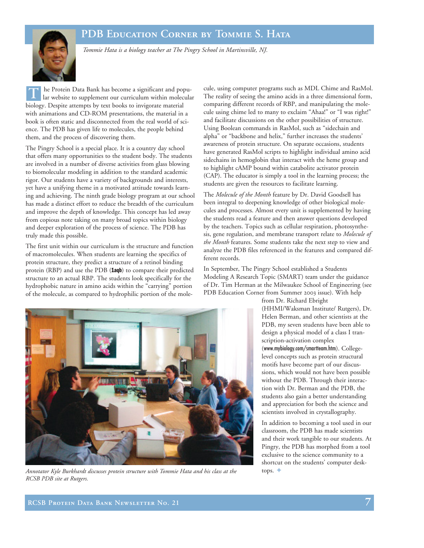# **PDB Education Corner by Tommie S. Hata**



*Tommie Hata is a biology teacher at The Pingry School in Martinsville, NJ.*

he Protein Data Bank has become a significant and popular website to supplement our curriculum within molecular biology. Despite attempts by text books to invigorate material with animations and CD-ROM presentations, the material in a book is often static and disconnected from the real world of science. The PDB has given life to molecules, the people behind them, and the process of discovering them. **T**

The Pingry School is a special place. It is a country day school that offers many opportunities to the student body. The students are involved in a number of diverse activities from glass blowing to biomolecular modeling in addition to the standard academic rigor. Our students have a variety of backgrounds and interests, yet have a unifying theme in a motivated attitude towards learning and achieving. The ninth grade biology program at our school has made a distinct effort to reduce the breadth of the curriculum and improve the depth of knowledge. This concept has led away from copious note taking on many broad topics within biology and deeper exploration of the process of science. The PDB has truly made this possible.

The first unit within our curriculum is the structure and function of macromolecules. When students are learning the specifics of protein structure, they predict a structure of a retinol binding protein (RBP) and use the PDB (1aqb) to compare their predicted structure to an actual RBP. The students look specifically for the hydrophobic nature in amino acids within the "carrying" portion of the molecule, as compared to hydrophilic portion of the mole-

cule, using computer programs such as MDL Chime and RasMol. The reality of seeing the amino acids in a three dimensional form, comparing different records of RBP, and manipulating the molecule using chime led to many to exclaim "Ahaa!" or "I was right!" and facilitate discussions on the other possibilities of structure. Using Boolean commands in RasMol, such as "sidechain and alpha" or "backbone and helix," further increases the students' awareness of protein structure. On separate occasions, students have generated RasMol scripts to highlight individual amino acid sidechains in hemoglobin that interact with the heme group and to highlight cAMP bound within catabolite activator protein (CAP). The educator is simply a tool in the learning process; the students are given the resources to facilitate learning.

The *Molecule of the Month* feature by Dr. David Goodsell has been integral to deepening knowledge of other biological molecules and processes. Almost every unit is supplemented by having the students read a feature and then answer questions developed by the teachers. Topics such as cellular respiration, photosynthesis, gene regulation, and membrane transport relate to *Molecule of the Month* features. Some students take the next step to view and analyze the PDB files referenced in the features and compared different records.

In September, The Pingry School established a Students Modeling A Research Topic (SMART) team under the guidance of Dr. Tim Herman at the Milwaukee School of Engineering (see PDB Education Corner from Summer 2003 issue). With help

from Dr. Richard Ebright

(HHMI/Waksman Institute/ Rutgers), Dr. Helen Berman, and other scientists at the PDB, my seven students have been able to design a physical model of a class I transcription-activation complex (www.mybiology.com/smartteam.htm). Collegelevel concepts such as protein structural motifs have become part of our discussions, which would not have been possible without the PDB. Through their interaction with Dr. Berman and the PDB, the students also gain a better understanding and appreciation for both the science and scientists involved in crystallography.

In addition to becoming a tool used in our classroom, the PDB has made scientists and their work tangible to our students. At Pingry, the PDB has morphed from a tool exclusive to the science community to a shortcut on the students' computer desktops.  $\triangleleft$ 



*Annotator Kyle Burkhardt discusses protein structure with Tommie Hata and his class at the RCSB PDB site at Rutgers.*